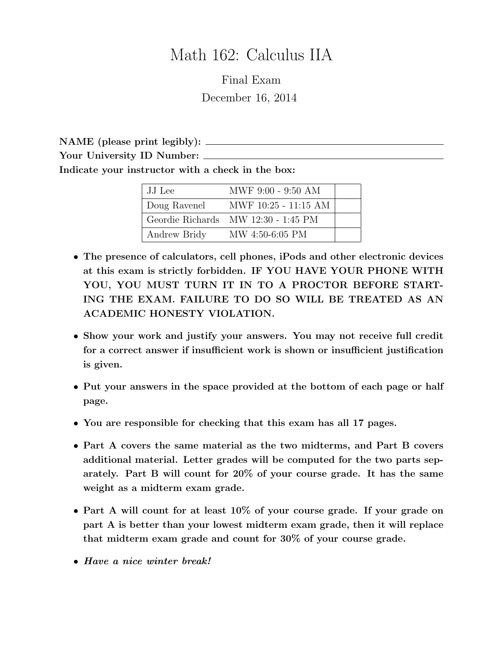# Math 162: Calculus IIA

Final Exam December 16, 2014

NAME (please print legibly): Your University ID Number: \_\_\_\_\_\_\_ Indicate your instructor with a check in the box:

| JJ Lee       | MWF 9:00 - 9:50 AM                  |  |
|--------------|-------------------------------------|--|
| Doug Ravenel | MWF 10:25 - 11:15 AM                |  |
|              | Geordie Richards MW 12:30 - 1:45 PM |  |
| Andrew Bridy | MW 4:50-6:05 PM                     |  |

- The presence of calculators, cell phones, iPods and other electronic devices at this exam is strictly forbidden. IF YOU HAVE YOUR PHONE WITH YOU, YOU MUST TURN IT IN TO A PROCTOR BEFORE START-ING THE EXAM. FAILURE TO DO SO WILL BE TREATED AS AN ACADEMIC HONESTY VIOLATION.
- Show your work and justify your answers. You may not receive full credit for a correct answer if insufficient work is shown or insufficient justification is given.
- Put your answers in the space provided at the bottom of each page or half page.
- You are responsible for checking that this exam has all 17 pages.
- Part A covers the same material as the two midterms, and Part B covers additional material. Letter grades will be computed for the two parts separately. Part B will count for 20% of your course grade. It has the same weight as a midterm exam grade.
- Part A will count for at least 10% of your course grade. If your grade on part A is better than your lowest midterm exam grade, then it will replace that midterm exam grade and count for 30% of your course grade.
- Have a nice winter break!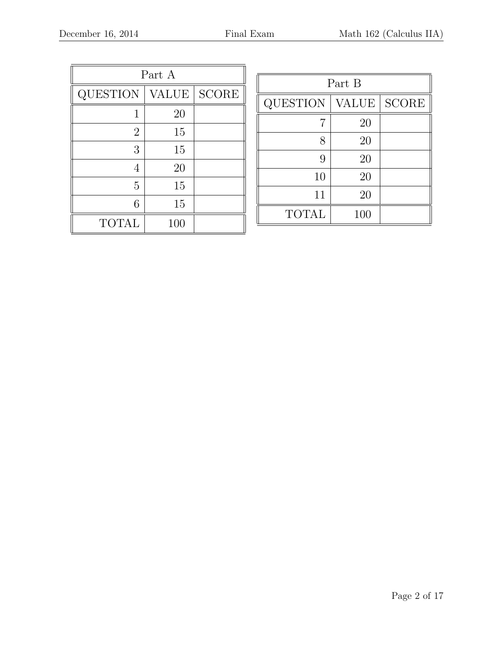| Part A          |              |              |  |  |
|-----------------|--------------|--------------|--|--|
| <b>QUESTION</b> | <b>VALUE</b> | <b>SCORE</b> |  |  |
| 1               | 20           |              |  |  |
| $\overline{2}$  | 15           |              |  |  |
| 3               | 15           |              |  |  |
| $\overline{4}$  | 20           |              |  |  |
| 5               | 15           |              |  |  |
| 6               | 15           |              |  |  |
| <b>TOTAL</b>    | 100          |              |  |  |

| Part B       |              |              |  |  |
|--------------|--------------|--------------|--|--|
| QUESTION     | <b>VALUE</b> | <b>SCORE</b> |  |  |
|              | 20           |              |  |  |
| 8            | 20           |              |  |  |
| 9            | 20           |              |  |  |
| 10           | 20           |              |  |  |
| 11           | 20           |              |  |  |
| <b>TOTAL</b> | 100          |              |  |  |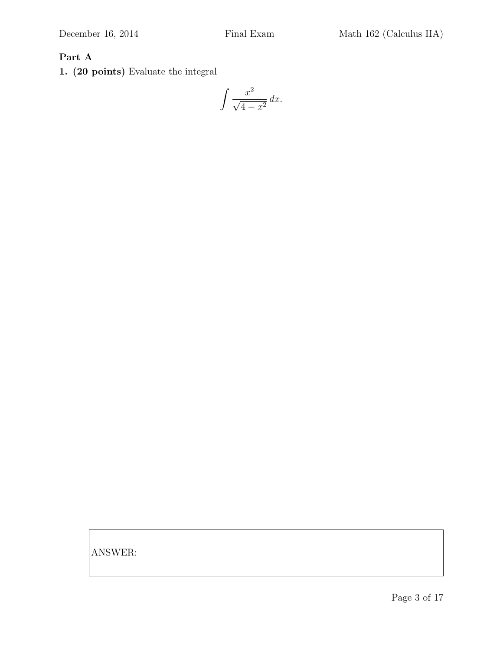## Part A

1. (20 points) Evaluate the integral

$$
\int \frac{x^2}{\sqrt{4-x^2}} \, dx.
$$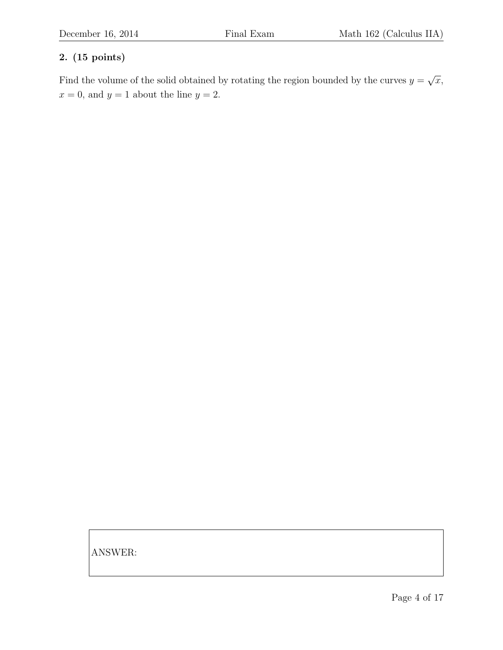## 2. (15 points)

Find the volume of the solid obtained by rotating the region bounded by the curves  $y =$ √  $\overline{x},$  $x = 0$ , and  $y = 1$  about the line  $y = 2$ .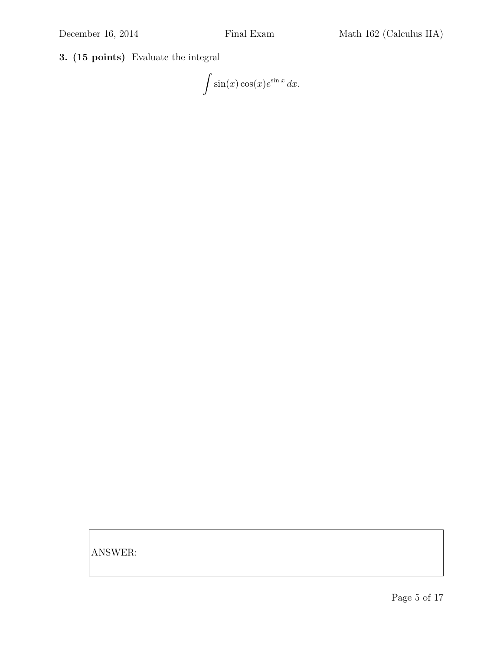3. (15 points) Evaluate the integral

 $\int \sin(x) \cos(x) e^{\sin x} dx.$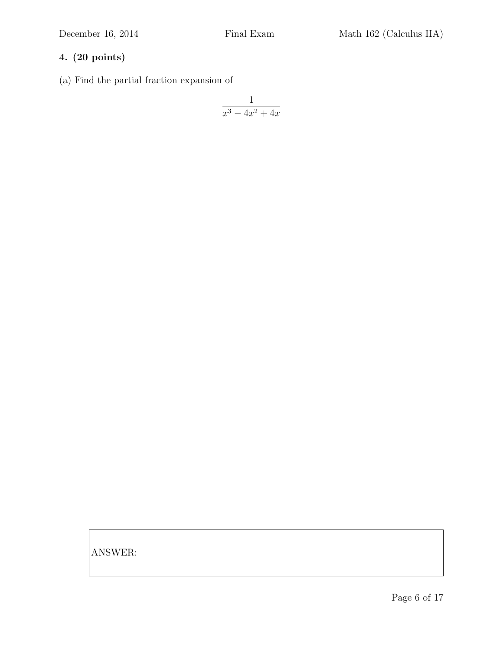(a) Find the partial fraction expansion of

$$
\frac{1}{x^3 - 4x^2 + 4x}
$$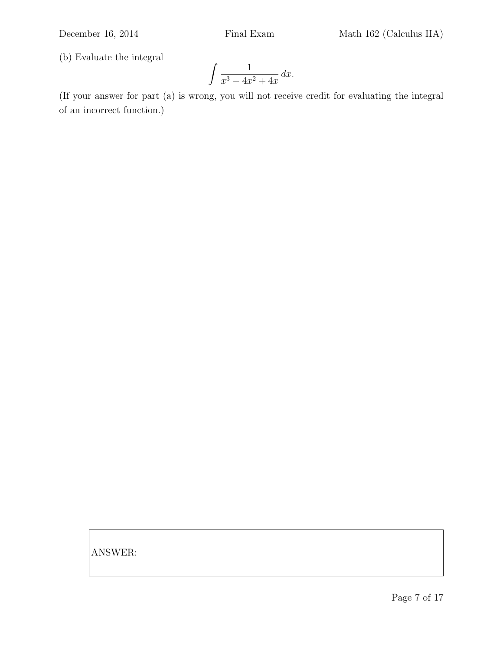(b) Evaluate the integral

$$
\int \frac{1}{x^3 - 4x^2 + 4x} \, dx.
$$

(If your answer for part (a) is wrong, you will not receive credit for evaluating the integral of an incorrect function.)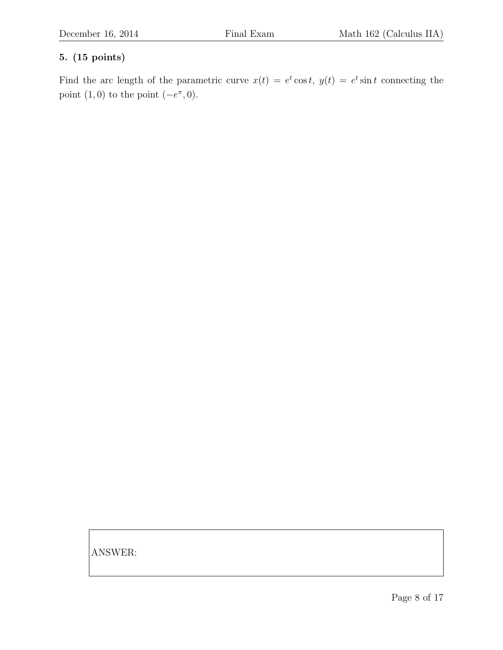## 5. (15 points)

Find the arc length of the parametric curve  $x(t) = e^t \cos t$ ,  $y(t) = e^t \sin t$  connecting the point  $(1,0)$  to the point  $(-e^{\pi},0)$ .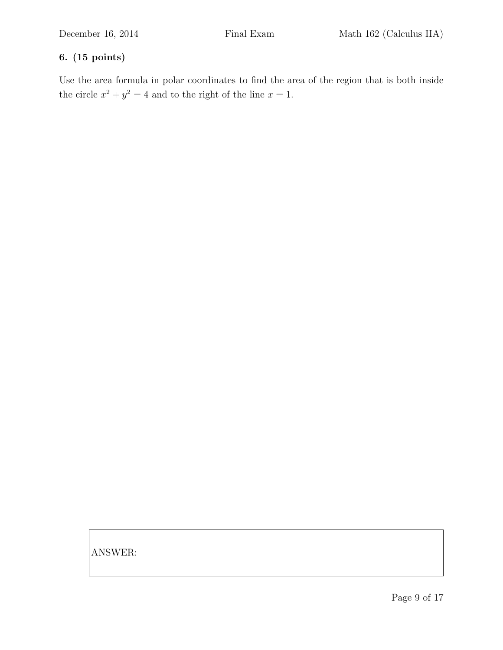## 6. (15 points)

Use the area formula in polar coordinates to find the area of the region that is both inside the circle  $x^2 + y^2 = 4$  and to the right of the line  $x = 1$ .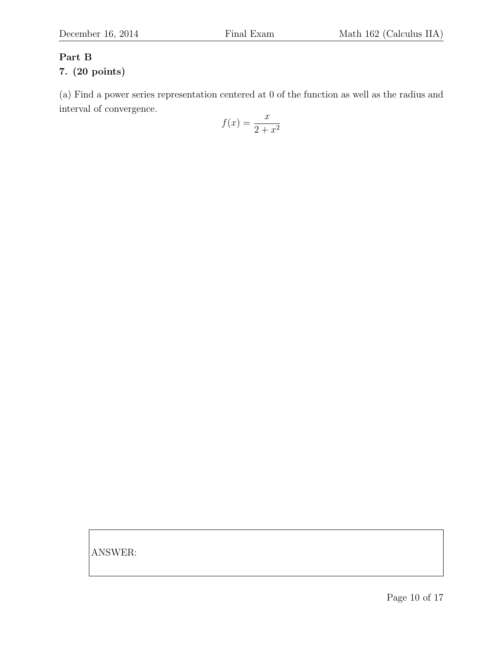# Part B

## 7. (20 points)

(a) Find a power series representation centered at 0 of the function as well as the radius and interval of convergence.

$$
f(x) = \frac{x}{2 + x^2}
$$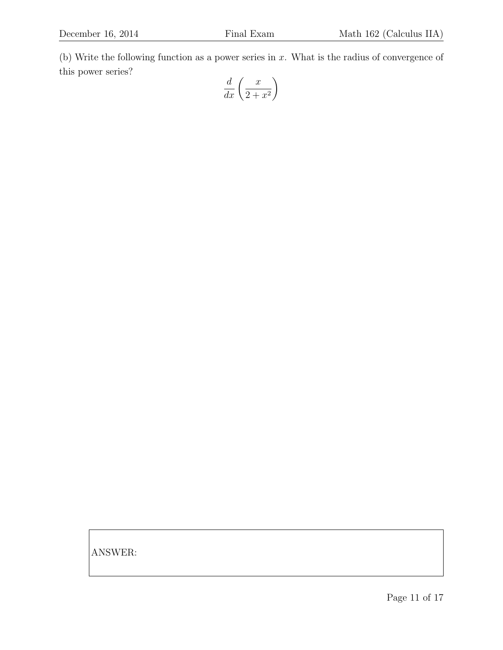(b) Write the following function as a power series in  $x$ . What is the radius of convergence of this power series?

$$
\frac{d}{dx}\left(\frac{x}{2+x^2}\right)
$$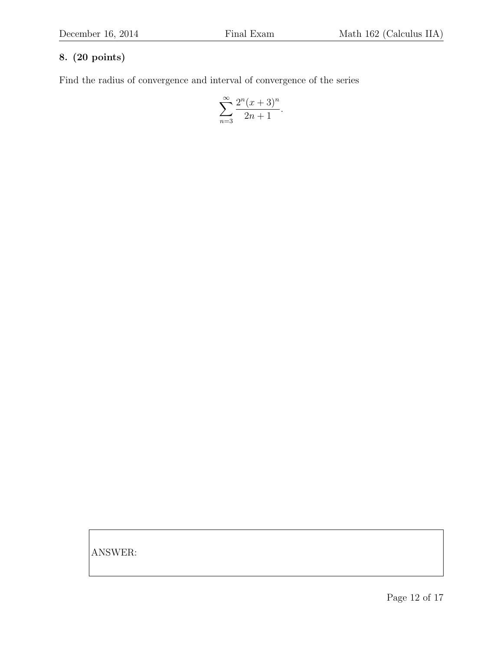Find the radius of convergence and interval of convergence of the series

$$
\sum_{n=3}^{\infty} \frac{2^n (x+3)^n}{2n+1}.
$$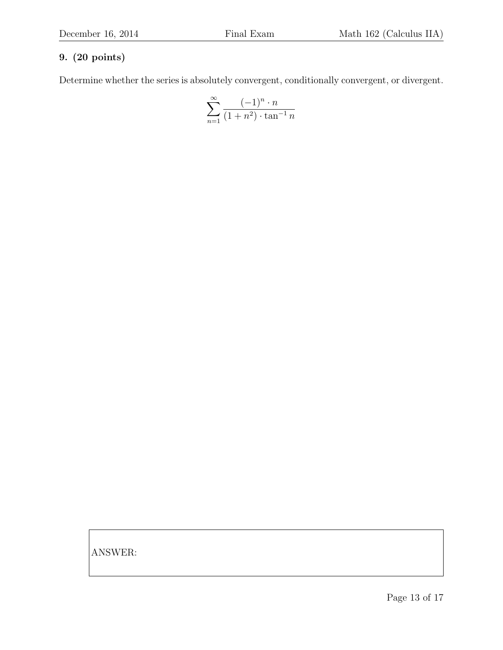Determine whether the series is absolutely convergent, conditionally convergent, or divergent.

$$
\sum_{n=1}^{\infty} \frac{(-1)^n \cdot n}{(1+n^2) \cdot \tan^{-1} n}
$$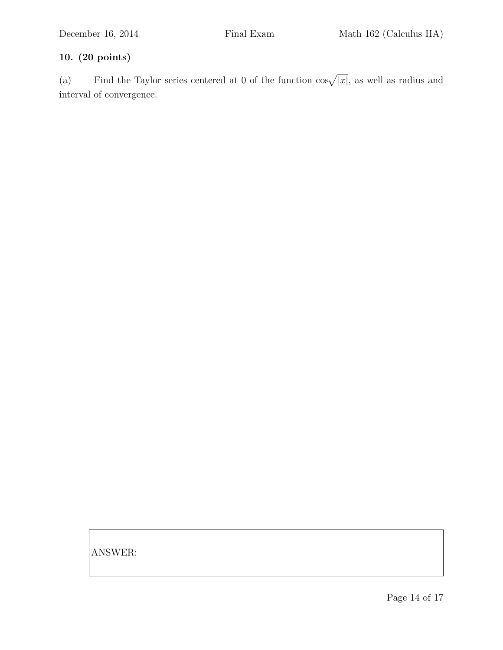(a) Find the Taylor series centered at 0 of the function  $\cos\sqrt{|x|}$ , as well as radius and interval of convergence.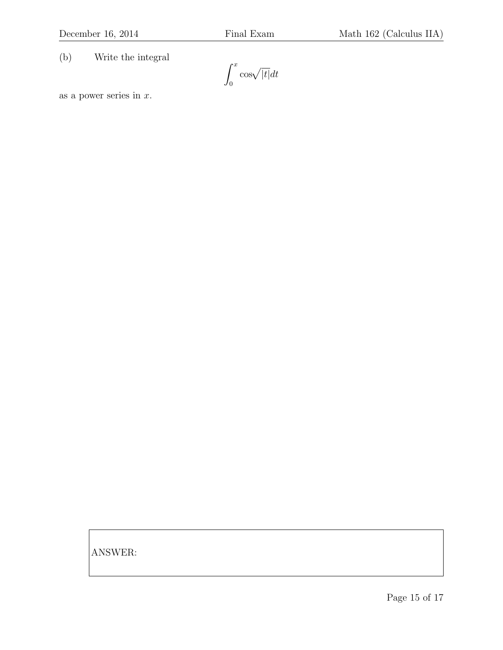(b) Write the integral

 $\int_0^x$ 0  $\cos\sqrt{|t|}dt$ 

as a power series in  $x$ .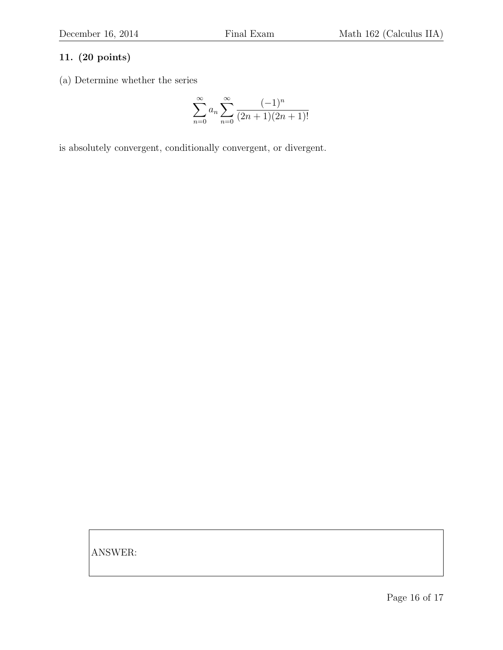(a) Determine whether the series

$$
\sum_{n=0}^{\infty} a_n \sum_{n=0}^{\infty} \frac{(-1)^n}{(2n+1)(2n+1)!}
$$

is absolutely convergent, conditionally convergent, or divergent.